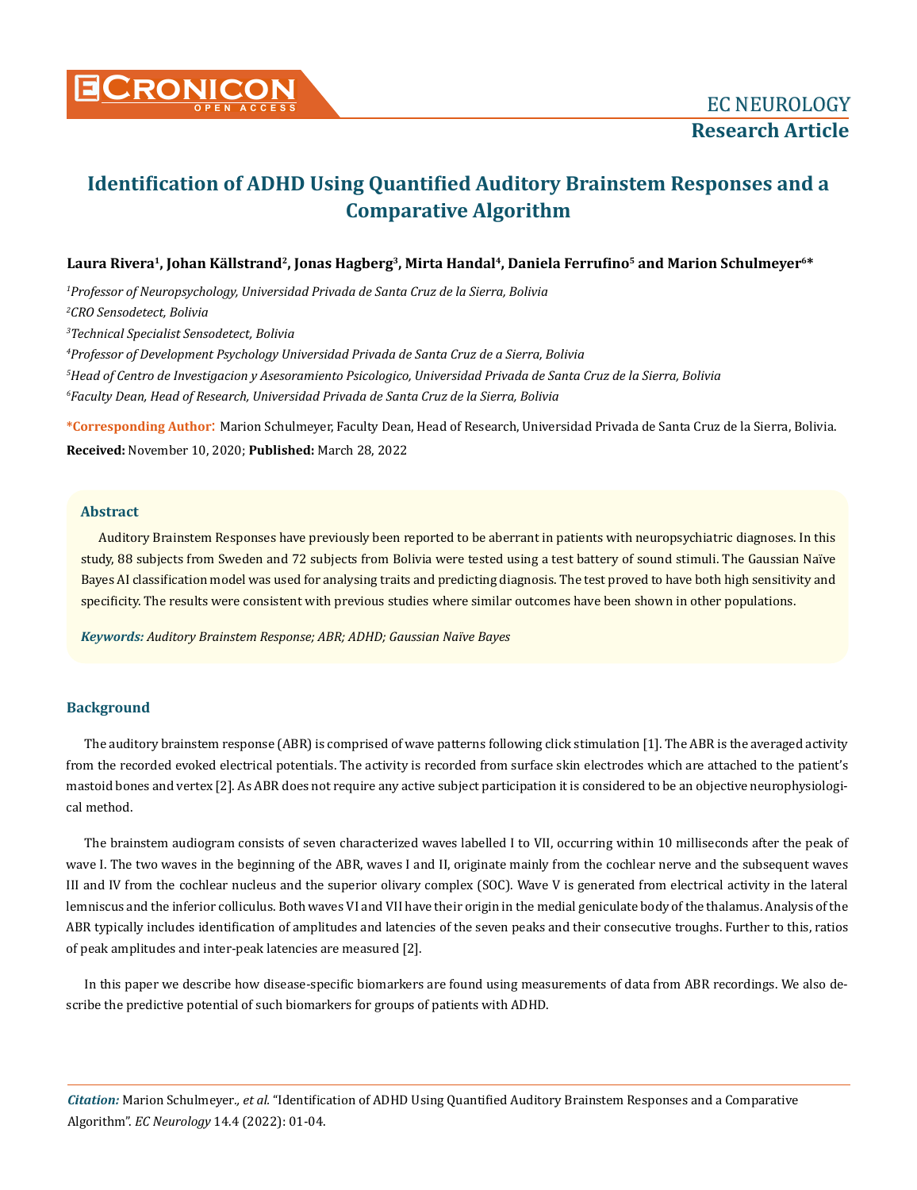

# **Identification of ADHD Using Quantified Auditory Brainstem Responses and a Comparative Algorithm**

# **Laura Rivera<sup>1</sup>, Johan Källstrand<sup>2</sup>, Jonas Hagberg<sup>3</sup>, Mirta Handal<sup>4</sup>, Daniela Ferrufino<sup>5</sup> and Marion Schulmeyer6\***

 *Professor of Neuropsychology, Universidad Privada de Santa Cruz de la Sierra, Bolivia CRO Sensodetect, Bolivia Technical Specialist Sensodetect, Bolivia Professor of Development Psychology Universidad Privada de Santa Cruz de a Sierra, Bolivia Head of Centro de Investigacion y Asesoramiento Psicologico, Universidad Privada de Santa Cruz de la Sierra, Bolivia Faculty Dean, Head of Research, Universidad Privada de Santa Cruz de la Sierra, Bolivia*

**\*Corresponding Author**: Marion Schulmeyer, Faculty Dean, Head of Research, Universidad Privada de Santa Cruz de la Sierra, Bolivia. **Received:** November 10, 2020; **Published:** March 28, 2022

## **Abstract**

Auditory Brainstem Responses have previously been reported to be aberrant in patients with neuropsychiatric diagnoses. In this study, 88 subjects from Sweden and 72 subjects from Bolivia were tested using a test battery of sound stimuli. The Gaussian Naïve Bayes AI classification model was used for analysing traits and predicting diagnosis. The test proved to have both high sensitivity and specificity. The results were consistent with previous studies where similar outcomes have been shown in other populations.

*Keywords: Auditory Brainstem Response; ABR; ADHD; Gaussian Naïve Bayes*

## **Background**

The auditory brainstem response (ABR) is comprised of wave patterns following click stimulation [1]. The ABR is the averaged activity from the recorded evoked electrical potentials. The activity is recorded from surface skin electrodes which are attached to the patient's mastoid bones and vertex [2]. As ABR does not require any active subject participation it is considered to be an objective neurophysiological method.

The brainstem audiogram consists of seven characterized waves labelled I to VII, occurring within 10 milliseconds after the peak of wave I. The two waves in the beginning of the ABR, waves I and II, originate mainly from the cochlear nerve and the subsequent waves III and IV from the cochlear nucleus and the superior olivary complex (SOC). Wave V is generated from electrical activity in the lateral lemniscus and the inferior colliculus. Both waves VI and VII have their origin in the medial geniculate body of the thalamus. Analysis of the ABR typically includes identification of amplitudes and latencies of the seven peaks and their consecutive troughs. Further to this, ratios of peak amplitudes and inter-peak latencies are measured [2].

In this paper we describe how disease-specific biomarkers are found using measurements of data from ABR recordings. We also describe the predictive potential of such biomarkers for groups of patients with ADHD.

*Citation:* Marion Schulmeyer*., et al.* "Identification of ADHD Using Quantified Auditory Brainstem Responses and a Comparative Algorithm". *EC Neurology* 14.4 (2022): 01-04.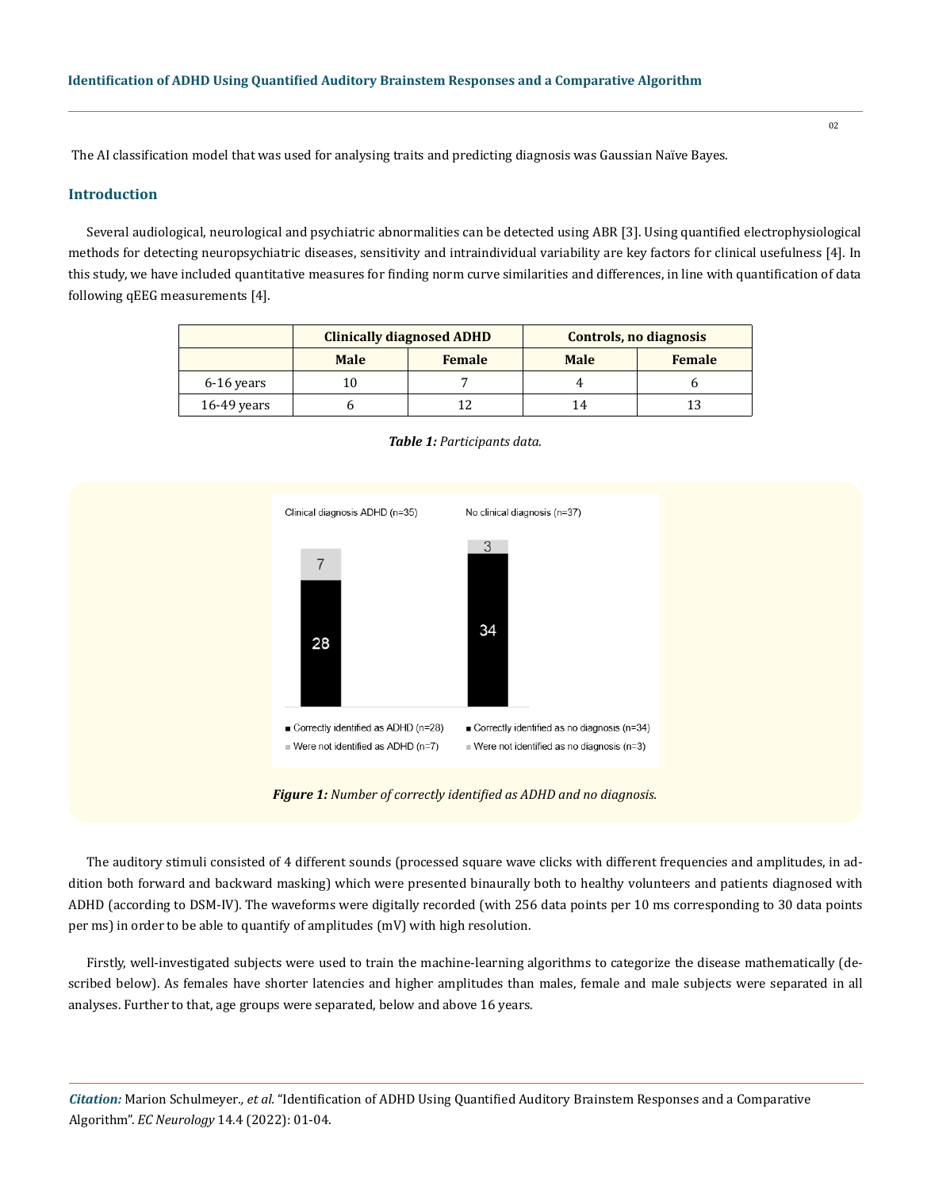The AI classification model that was used for analysing traits and predicting diagnosis was Gaussian Naïve Bayes.

# **Introduction**

Several audiological, neurological and psychiatric abnormalities can be detected using ABR [3]. Using quantified electrophysiological methods for detecting neuropsychiatric diseases, sensitivity and intraindividual variability are key factors for clinical usefulness [4]. In this study, we have included quantitative measures for finding norm curve similarities and differences, in line with quantification of data following qEEG measurements [4].

|               | <b>Clinically diagnosed ADHD</b> |               | Controls, no diagnosis |               |
|---------------|----------------------------------|---------------|------------------------|---------------|
|               | <b>Male</b>                      | <b>Female</b> | <b>Male</b>            | <b>Female</b> |
| 6-16 years    | 10                               |               |                        |               |
| $16-49$ years |                                  |               | 14                     |               |



#### *Table 1: Participants data.*

*Figure 1: Number of correctly identified as ADHD and no diagnosis.* 

The auditory stimuli consisted of 4 different sounds (processed square wave clicks with different frequencies and amplitudes, in addition both forward and backward masking) which were presented binaurally both to healthy volunteers and patients diagnosed with ADHD (according to DSM-IV). The waveforms were digitally recorded (with 256 data points per 10 ms corresponding to 30 data points per ms) in order to be able to quantify of amplitudes (mV) with high resolution.

Firstly, well-investigated subjects were used to train the machine-learning algorithms to categorize the disease mathematically (described below). As females have shorter latencies and higher amplitudes than males, female and male subjects were separated in all analyses. Further to that, age groups were separated, below and above 16 years.

*Citation:* Marion Schulmeyer*., et al.* "Identification of ADHD Using Quantified Auditory Brainstem Responses and a Comparative Algorithm". *EC Neurology* 14.4 (2022): 01-04.

02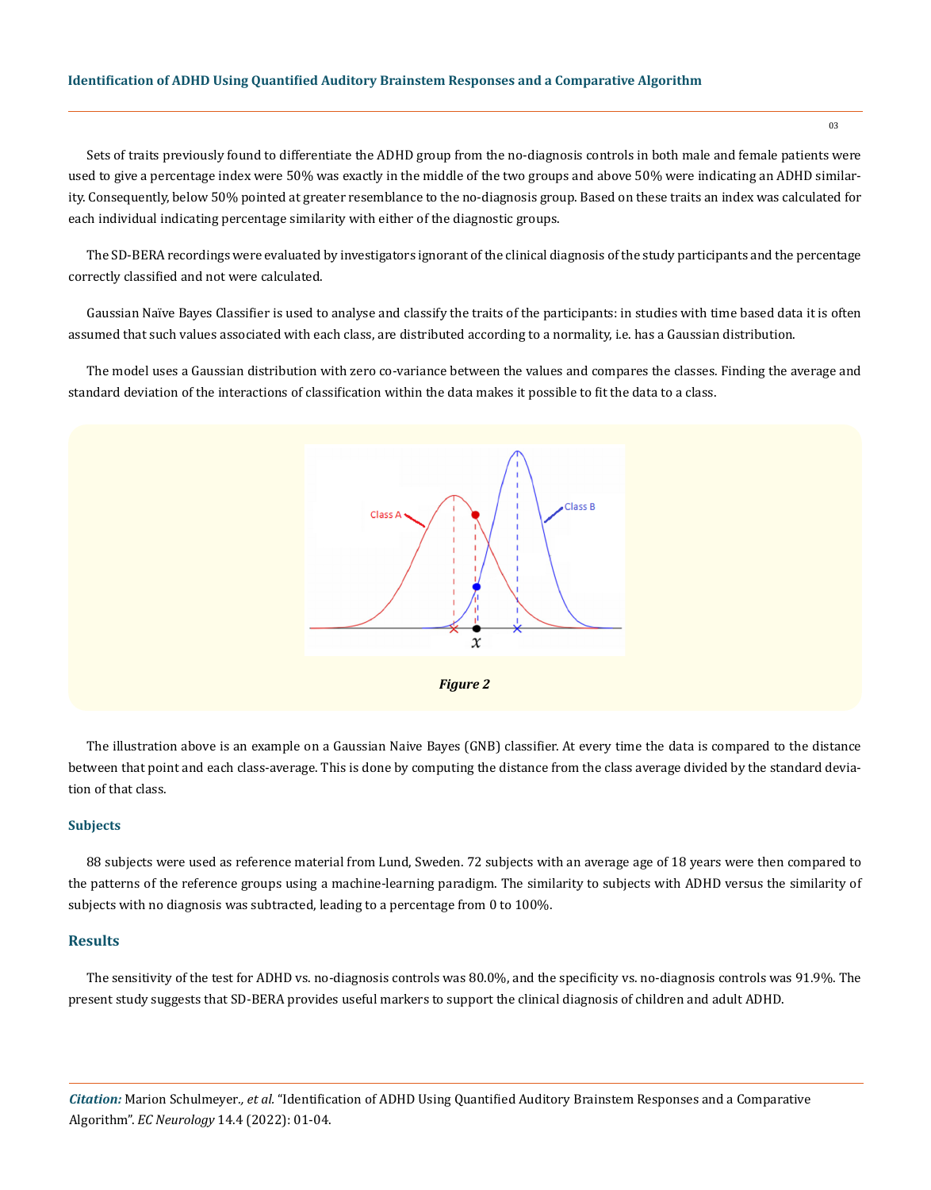### **Identification of ADHD Using Quantified Auditory Brainstem Responses and a Comparative Algorithm**

Sets of traits previously found to differentiate the ADHD group from the no-diagnosis controls in both male and female patients were used to give a percentage index were 50% was exactly in the middle of the two groups and above 50% were indicating an ADHD similarity. Consequently, below 50% pointed at greater resemblance to the no-diagnosis group. Based on these traits an index was calculated for each individual indicating percentage similarity with either of the diagnostic groups.

The SD-BERA recordings were evaluated by investigators ignorant of the clinical diagnosis of the study participants and the percentage correctly classified and not were calculated.

Gaussian Naïve Bayes Classifier is used to analyse and classify the traits of the participants: in studies with time based data it is often assumed that such values associated with each class, are distributed according to a normality, i.e. has a Gaussian distribution.

The model uses a Gaussian distribution with zero co-variance between the values and compares the classes. Finding the average and standard deviation of the interactions of classification within the data makes it possible to fit the data to a class.



The illustration above is an example on a Gaussian Naive Bayes (GNB) classifier. At every time the data is compared to the distance between that point and each class-average. This is done by computing the distance from the class average divided by the standard deviation of that class.

#### **Subjects**

88 subjects were used as reference material from Lund, Sweden. 72 subjects with an average age of 18 years were then compared to the patterns of the reference groups using a machine-learning paradigm. The similarity to subjects with ADHD versus the similarity of subjects with no diagnosis was subtracted, leading to a percentage from 0 to 100%.

# **Results**

The sensitivity of the test for ADHD vs. no-diagnosis controls was 80.0%, and the specificity vs. no-diagnosis controls was 91.9%. The present study suggests that SD-BERA provides useful markers to support the clinical diagnosis of children and adult ADHD.

*Citation:* Marion Schulmeyer*., et al.* "Identification of ADHD Using Quantified Auditory Brainstem Responses and a Comparative Algorithm". *EC Neurology* 14.4 (2022): 01-04.

03